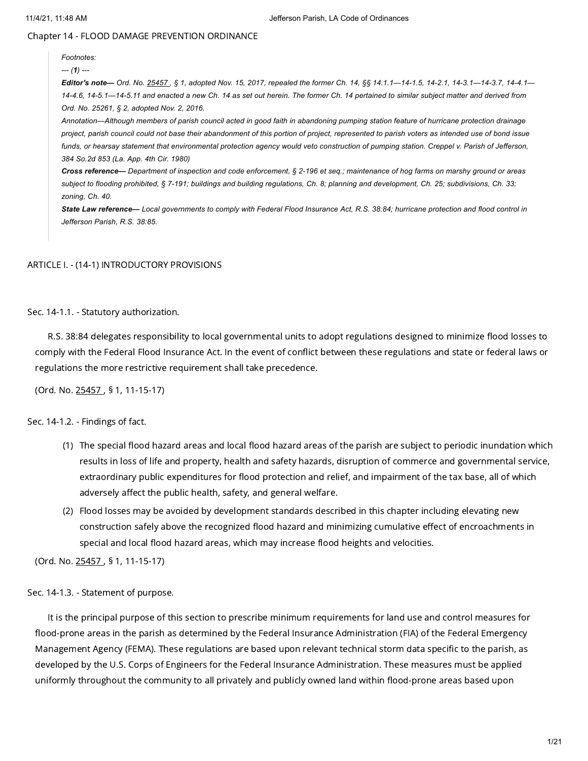Chapter 14 - FLOOD DAMAGE PREVENTION ORDINANCE

# *Footnotes:*

### *--- (1) ---*

Editor's note- Ord. No. [25457](https://library.municode.com/). § 1, adopted Nov. 15, 2017, repealed the former Ch. 14, §§ 14.1.1-14-1.5, 14-2.1, 14-3.1-14-3.7, 14-4.1-14-4.6, 14-5.1-14-5.11 and enacted a new Ch. 14 as set out herein. The former Ch. 14 pertained to similar subject matter and derived from *Ord. No. 25261, § 2, adopted Nov. 2, 2016.*

Annotation-Although members of parish council acted in good faith in abandoning pumping station feature of hurricane protection drainage project, parish council could not base their abandonment of this portion of project, represented to parish voters as intended use of bond issue funds, or hearsay statement that environmental protection agency would veto construction of pumping station. Creppel v. Parish of Jefferson, *384 So.2d 853 (La. App. 4th Cir. 1980)*

Cross reference— Department of inspection and code enforcement, § 2-196 et seq.; maintenance of hog farms on marshy ground or areas subject to flooding prohibited, § 7-191; buildings and building regulations, Ch. 8; planning and development, Ch. 25; subdivisions, Ch. 33; *zoning, Ch. 40.*

State Law reference-Local governments to comply with Federal Flood Insurance Act, R.S. 38:84; hurricane protection and flood control in *Jefferson Parish, R.S. 38:85.*

# ARTICLE I. - (14-1) INTRODUCTORY PROVISIONS

Sec. 14-1.1. - Statutory authorization.

R.S. 38:84 delegates responsibility to local governmental units to adopt regulations designed to minimize flood losses to comply with the Federal Flood Insurance Act. In the event of conflict between these regulations and state or federal laws or regulations the more restrictive requirement shall take precedence.

(Ord. No. [25457](https://library.municode.com/) , § 1, 11-15-17)

# Sec. 14-1.2. - Findings of fact.

- (1) The special flood hazard areas and local flood hazard areas of the parish are subject to periodic inundation which results in loss of life and property, health and safety hazards, disruption of commerce and governmental service, extraordinary public expenditures for flood protection and relief, and impairment of the tax base, all of which adversely affect the public health, safety, and general welfare.
- (2) Flood losses may be avoided by development standards described in this chapter including elevating new construction safely above the recognized flood hazard and minimizing cumulative effect of encroachments in special and local flood hazard areas, which may increase flood heights and velocities.

(Ord. No. [25457](https://library.municode.com/) , § 1, 11-15-17)

## Sec. 14-1.3. - Statement of purpose.

It is the principal purpose of this section to prescribe minimum requirements for land use and control measures for flood-prone areas in the parish as determined by the Federal Insurance Administration (FIA) of the Federal Emergency Management Agency (FEMA). These regulations are based upon relevant technical storm data specific to the parish, as developed by the U.S. Corps of Engineers for the Federal Insurance Administration. These measures must be applied uniformly throughout the community to all privately and publicly owned land within flood-prone areas based upon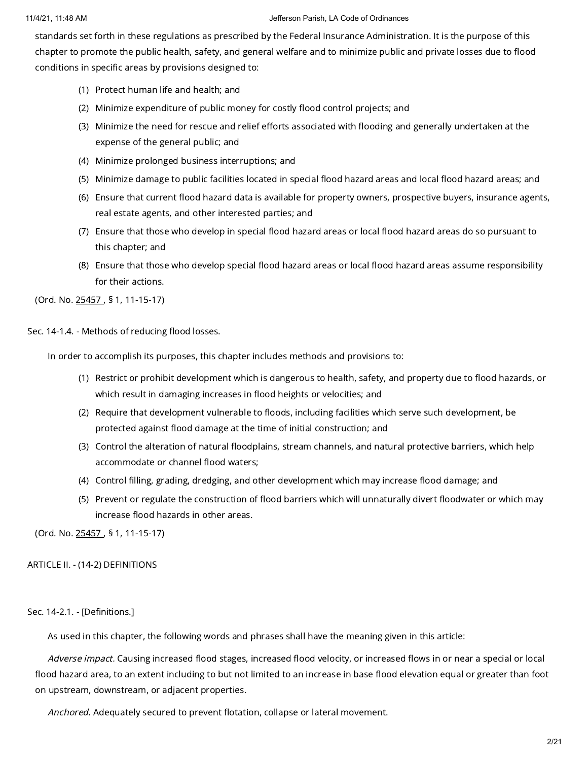standards set forth in these regulations as prescribed by the Federal Insurance Administration. It is the purpose of this chapter to promote the public health, safety, and general welfare and to minimize public and private losses due to flood conditions in specific areas by provisions designed to:

- (1) Protect human life and health; and
- (2) Minimize expenditure of public money for costly flood control projects; and
- (3) Minimize the need for rescue and relief efforts associated with flooding and generally undertaken at the expense of the general public; and
- (4) Minimize prolonged business interruptions; and
- (5) Minimize damage to public facilities located in special flood hazard areas and local flood hazard areas; and
- (6) Ensure that current flood hazard data is available for property owners, prospective buyers, insurance agents, real estate agents, and other interested parties; and
- (7) Ensure that those who develop in special flood hazard areas or local flood hazard areas do so pursuant to this chapter; and
- (8) Ensure that those who develop special flood hazard areas or local flood hazard areas assume responsibility for their actions.

(Ord. No. [25457](https://library.municode.com/) , § 1, 11-15-17)

Sec. 14-1.4. - Methods of reducing flood losses.

In order to accomplish its purposes, this chapter includes methods and provisions to:

- (1) Restrict or prohibit development which is dangerous to health, safety, and property due to flood hazards, or which result in damaging increases in flood heights or velocities; and
- (2) Require that development vulnerable to floods, including facilities which serve such development, be protected against flood damage at the time of initial construction; and
- (3) Control the alteration of natural floodplains, stream channels, and natural protective barriers, which help accommodate or channel flood waters;
- (4) Control filling, grading, dredging, and other development which may increase flood damage; and
- (5) Prevent or regulate the construction of flood barriers which will unnaturally divert floodwater or which may increase flood hazards in other areas.

(Ord. No. [25457](https://library.municode.com/) , § 1, 11-15-17)

# ARTICLE II. - (14-2) DEFINITIONS

# Sec. 14-2.1. - [Definitions.]

As used in this chapter, the following words and phrases shall have the meaning given in this article:

Adverse impact. Causing increased flood stages, increased flood velocity, or increased flows in or near a special or local flood hazard area, to an extent including to but not limited to an increase in base flood elevation equal or greater than foot on upstream, downstream, or adjacent properties.

Anchored. Adequately secured to prevent flotation, collapse or lateral movement.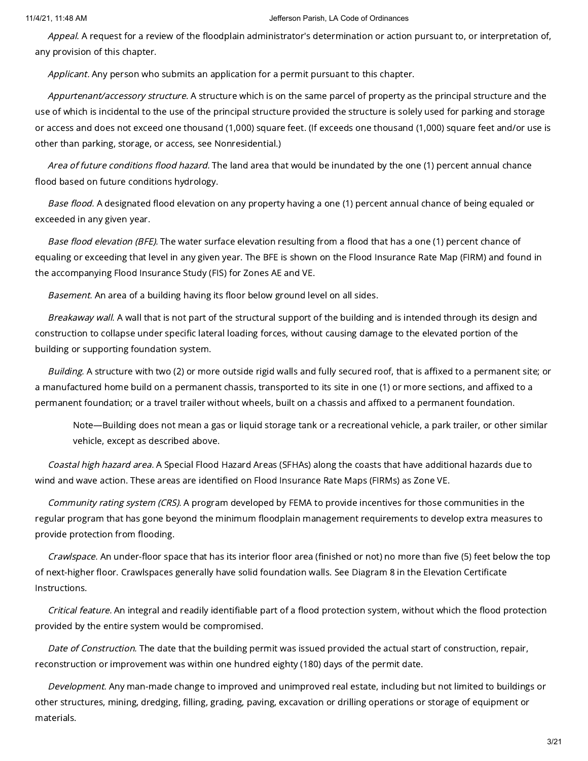Appeal. A request for a review of the floodplain administrator's determination or action pursuant to, or interpretation of, any provision of this chapter.

Applicant. Any person who submits an application for a permit pursuant to this chapter.

Appurtenant/accessory structure. A structure which is on the same parcel of property as the principal structure and the use of which is incidental to the use of the principal structure provided the structure is solely used for parking and storage or access and does not exceed one thousand (1,000) square feet. (If exceeds one thousand (1,000) square feet and/or use is other than parking, storage, or access, see Nonresidential.)

Area of future conditions flood hazard. The land area that would be inundated by the one (1) percent annual chance flood based on future conditions hydrology.

Base flood. A designated flood elevation on any property having a one (1) percent annual chance of being equaled or exceeded in any given year.

Base flood elevation (BFE). The water surface elevation resulting from a flood that has a one (1) percent chance of equaling or exceeding that level in any given year. The BFE is shown on the Flood Insurance Rate Map (FIRM) and found in the accompanying Flood Insurance Study (FIS) for Zones AE and VE.

Basement. An area of a building having its floor below ground level on all sides.

Breakaway wall. A wall that is not part of the structural support of the building and is intended through its design and construction to collapse under specific lateral loading forces, without causing damage to the elevated portion of the building or supporting foundation system.

Building. A structure with two (2) or more outside rigid walls and fully secured roof, that is affixed to a permanent site; or a manufactured home build on a permanent chassis, transported to its site in one (1) or more sections, and affixed to a permanent foundation; or a travel trailer without wheels, built on a chassis and affixed to a permanent foundation.

Note—Building does not mean a gas or liquid storage tank or a recreational vehicle, a park trailer, or other similar vehicle, except as described above.

Coastal high hazard area. A Special Flood Hazard Areas (SFHAs) along the coasts that have additional hazards due to wind and wave action. These areas are identified on Flood Insurance Rate Maps (FIRMs) as Zone VE.

Community rating system (CRS). A program developed by FEMA to provide incentives for those communities in the regular program that has gone beyond the minimum floodplain management requirements to develop extra measures to provide protection from flooding.

Crawlspace. An under-floor space that has its interior floor area (finished or not) no more than five (5) feet below the top of next-higher floor. Crawlspaces generally have solid foundation walls. See Diagram 8 in the Elevation Certificate Instructions.

Critical feature. An integral and readily identifiable part of a flood protection system, without which the flood protection provided by the entire system would be compromised.

Date of Construction. The date that the building permit was issued provided the actual start of construction, repair, reconstruction or improvement was within one hundred eighty (180) days of the permit date.

Development. Any man-made change to improved and unimproved real estate, including but not limited to buildings or other structures, mining, dredging, filling, grading, paving, excavation or drilling operations or storage of equipment or materials.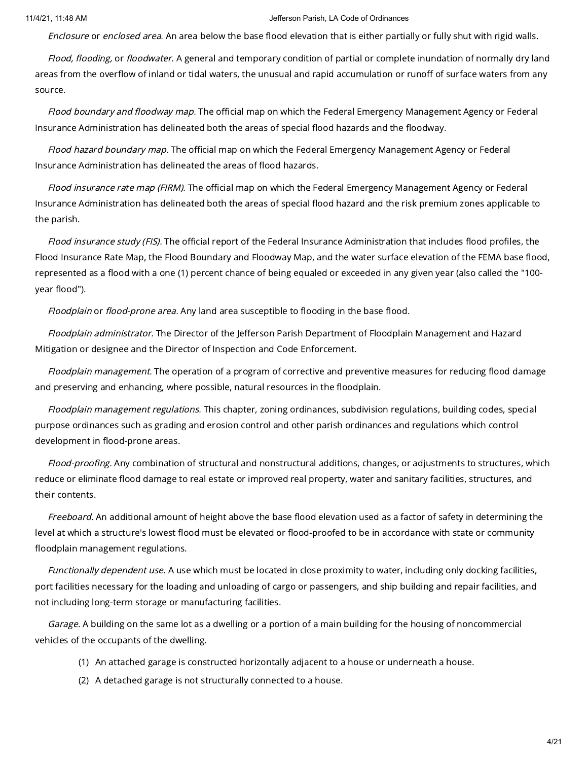Enclosure or enclosed area. An area below the base flood elevation that is either partially or fully shut with rigid walls.

Flood, flooding, or floodwater. A general and temporary condition of partial or complete inundation of normally dry land areas from the overflow of inland or tidal waters, the unusual and rapid accumulation or runoff of surface waters from any source.

Flood boundary and floodway map. The official map on which the Federal Emergency Management Agency or Federal Insurance Administration has delineated both the areas of special flood hazards and the floodway.

Flood hazard boundary map. The official map on which the Federal Emergency Management Agency or Federal Insurance Administration has delineated the areas of flood hazards.

Flood insurance rate map (FIRM). The official map on which the Federal Emergency Management Agency or Federal Insurance Administration has delineated both the areas of special flood hazard and the risk premium zones applicable to the parish.

Flood insurance study (FIS). The official report of the Federal Insurance Administration that includes flood profiles, the Flood Insurance Rate Map, the Flood Boundary and Floodway Map, and the water surface elevation of the FEMA base flood, represented as a flood with a one (1) percent chance of being equaled or exceeded in any given year (also called the "100 year flood").

Floodplain or flood-prone area. Any land area susceptible to flooding in the base flood.

Floodplain administrator. The Director of the Jefferson Parish Department of Floodplain Management and Hazard Mitigation or designee and the Director of Inspection and Code Enforcement.

Floodplain management. The operation of a program of corrective and preventive measures for reducing flood damage and preserving and enhancing, where possible, natural resources in the floodplain.

Floodplain management regulations. This chapter, zoning ordinances, subdivision regulations, building codes, special purpose ordinances such as grading and erosion control and other parish ordinances and regulations which control development in flood-prone areas.

Flood-proofing. Any combination of structural and nonstructural additions, changes, or adjustments to structures, which reduce or eliminate flood damage to real estate or improved real property, water and sanitary facilities, structures, and their contents.

Freeboard. An additional amount of height above the base flood elevation used as a factor of safety in determining the level at which a structure's lowest flood must be elevated or flood-proofed to be in accordance with state or community floodplain management regulations.

Functionally dependent use. A use which must be located in close proximity to water, including only docking facilities, port facilities necessary for the loading and unloading of cargo or passengers, and ship building and repair facilities, and not including long-term storage or manufacturing facilities.

Garage. A building on the same lot as a dwelling or a portion of a main building for the housing of noncommercial vehicles of the occupants of the dwelling.

- (1) An attached garage is constructed horizontally adjacent to a house or underneath a house.
- (2) A detached garage is not structurally connected to a house.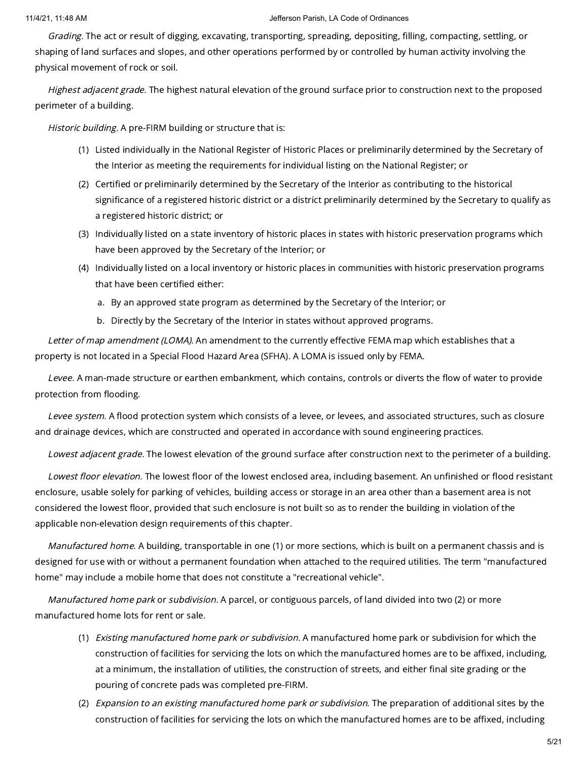Grading. The act or result of digging, excavating, transporting, spreading, depositing, filling, compacting, settling, or shaping of land surfaces and slopes, and other operations performed by or controlled by human activity involving the physical movement of rock or soil.

Highest adjacent grade. The highest natural elevation of the ground surface prior to construction next to the proposed perimeter of a building.

Historic building. A pre-FIRM building or structure that is:

- (1) Listed individually in the National Register of Historic Places or preliminarily determined by the Secretary of the Interior as meeting the requirements for individual listing on the National Register; or
- (2) Certified or preliminarily determined by the Secretary of the Interior as contributing to the historical significance of a registered historic district or a district preliminarily determined by the Secretary to qualify as a registered historic district; or
- (3) Individually listed on a state inventory of historic places in states with historic preservation programs which have been approved by the Secretary of the Interior; or
- (4) Individually listed on a local inventory or historic places in communities with historic preservation programs that have been certified either:
	- a. By an approved state program as determined by the Secretary of the Interior; or
	- b. Directly by the Secretary of the Interior in states without approved programs.

Letter of map amendment (LOMA). An amendment to the currently effective FEMA map which establishes that a property is not located in a Special Flood Hazard Area (SFHA). A LOMA is issued only by FEMA.

Levee. A man-made structure or earthen embankment, which contains, controls or diverts the flow of water to provide protection from flooding.

Levee system. A flood protection system which consists of a levee, or levees, and associated structures, such as closure and drainage devices, which are constructed and operated in accordance with sound engineering practices.

Lowest adjacent grade. The lowest elevation of the ground surface after construction next to the perimeter of a building.

Lowest floor elevation. The lowest floor of the lowest enclosed area, including basement. An unfinished or flood resistant enclosure, usable solely for parking of vehicles, building access or storage in an area other than a basement area is not considered the lowest floor, provided that such enclosure is not built so as to render the building in violation of the applicable non-elevation design requirements of this chapter.

Manufactured home. A building, transportable in one (1) or more sections, which is built on a permanent chassis and is designed for use with or without a permanent foundation when attached to the required utilities. The term "manufactured home" may include a mobile home that does not constitute a "recreational vehicle".

Manufactured home park or subdivision. A parcel, or contiguous parcels, of land divided into two (2) or more manufactured home lots for rent or sale.

- (1) *Existing manufactured home park or subdivision.* A manufactured home park or subdivision for which the construction of facilities for servicing the lots on which the manufactured homes are to be affixed, including, at a minimum, the installation of utilities, the construction of streets, and either final site grading or the pouring of concrete pads was completed pre-FIRM.
- (2) *Expansion to an existing manufactured home park or subdivision.* The preparation of additional sites by the construction of facilities for servicing the lots on which the manufactured homes are to be affixed, including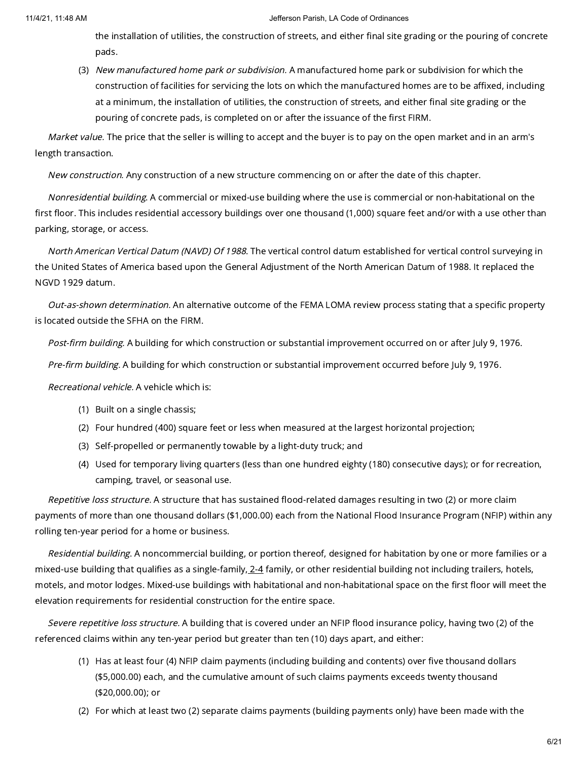the installation of utilities, the construction of streets, and either final site grading or the pouring of concrete pads.

(3) *New manufactured home park or subdivision.* A manufactured home park or subdivision for which the construction of facilities for servicing the lots on which the manufactured homes are to be affixed, including at a minimum, the installation of utilities, the construction of streets, and either final site grading or the pouring of concrete pads, is completed on or after the issuance of the first FIRM.

Market value. The price that the seller is willing to accept and the buyer is to pay on the open market and in an arm's length transaction.

New construction. Any construction of a new structure commencing on or after the date of this chapter.

Nonresidential building. A commercial or mixed-use building where the use is commercial or non-habitational on the first floor. This includes residential accessory buildings over one thousand (1,000) square feet and/or with a use other than parking, storage, or access.

North American Vertical Datum (NAVD) Of 1988. The vertical control datum established for vertical control surveying in the United States of America based upon the General Adjustment of the North American Datum of 1988. It replaced the NGVD 1929 datum.

Out-as-shown determination. An alternative outcome of the FEMA LOMA review process stating that a specific property is located outside the SFHA on the FIRM.

Post-firm building. A building for which construction or substantial improvement occurred on or after July 9, 1976.

Pre-firm building. A building for which construction or substantial improvement occurred before July 9, 1976.

Recreational vehicle. A vehicle which is:

- (1) Built on a single chassis;
- (2) Four hundred (400) square feet or less when measured at the largest horizontal projection;
- (3) Self-propelled or permanently towable by a light-duty truck; and
- (4) Used for temporary living quarters (less than one hundred eighty (180) consecutive days); or for recreation, camping, travel, or seasonal use.

Repetitive loss structure. A structure that has sustained flood-related damages resulting in two (2) or more claim payments of more than one thousand dollars (\$1,000.00) each from the National Flood Insurance Program (NFIP) within any rolling ten-year period for a home or business.

Residential building. A noncommercial building, or portion thereof, designed for habitation by one or more families or a mixed-use building that qualifies as a single-family, [2-4](https://library.municode.com/) family, or other residential building not including trailers, hotels, motels, and motor lodges. Mixed-use buildings with habitational and non-habitational space on the first floor will meet the elevation requirements for residential construction for the entire space.

Severe repetitive loss structure. A building that is covered under an NFIP flood insurance policy, having two (2) of the referenced claims within any ten-year period but greater than ten (10) days apart, and either:

- (1) Has at least four (4) NFIP claim payments (including building and contents) over five thousand dollars (\$5,000.00) each, and the cumulative amount of such claims payments exceeds twenty thousand (\$20,000.00); or
- (2) For which at least two (2) separate claims payments (building payments only) have been made with the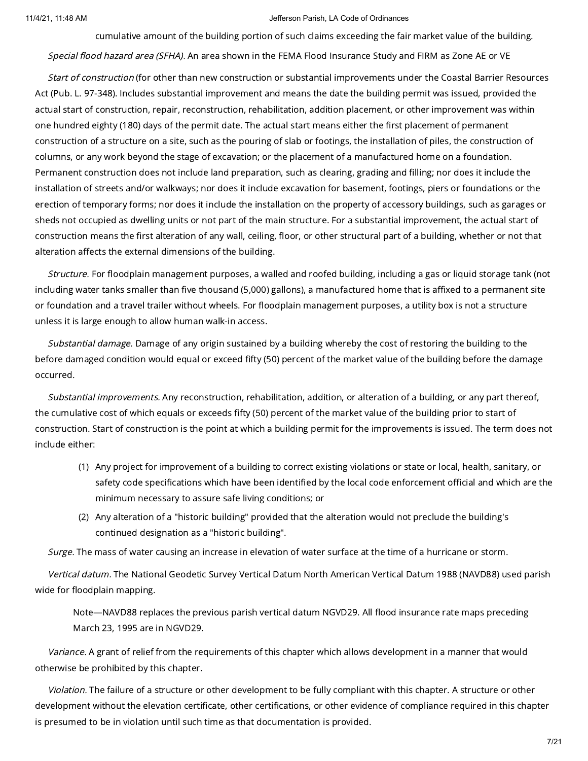cumulative amount of the building portion of such claims exceeding the fair market value of the building.

Special flood hazard area (SFHA). An area shown in the FEMA Flood Insurance Study and FIRM as Zone AE or VE

Start of construction (for other than new construction or substantial improvements under the Coastal Barrier Resources Act (Pub. L. 97-348). Includes substantial improvement and means the date the building permit was issued, provided the actual start of construction, repair, reconstruction, rehabilitation, addition placement, or other improvement was within one hundred eighty (180) days of the permit date. The actual start means either the first placement of permanent construction of a structure on a site, such as the pouring of slab or footings, the installation of piles, the construction of columns, or any work beyond the stage of excavation; or the placement of a manufactured home on a foundation. Permanent construction does not include land preparation, such as clearing, grading and filling; nor does it include the installation of streets and/or walkways; nor does it include excavation for basement, footings, piers or foundations or the erection of temporary forms; nor does it include the installation on the property of accessory buildings, such as garages or sheds not occupied as dwelling units or not part of the main structure. For a substantial improvement, the actual start of construction means the first alteration of any wall, ceiling, floor, or other structural part of a building, whether or not that alteration affects the external dimensions of the building.

Structure. For floodplain management purposes, a walled and roofed building, including a gas or liquid storage tank (not including water tanks smaller than five thousand (5,000) gallons), a manufactured home that is affixed to a permanent site or foundation and a travel trailer without wheels. For floodplain management purposes, a utility box is not a structure unless it is large enough to allow human walk-in access.

Substantial damage. Damage of any origin sustained by a building whereby the cost of restoring the building to the before damaged condition would equal or exceed fifty (50) percent of the market value of the building before the damage occurred.

Substantial improvements. Any reconstruction, rehabilitation, addition, or alteration of a building, or any part thereof, the cumulative cost of which equals or exceeds fifty (50) percent of the market value of the building prior to start of construction. Start of construction is the point at which a building permit for the improvements is issued. The term does not include either:

- (1) Any project for improvement of a building to correct existing violations or state or local, health, sanitary, or safety code specifications which have been identified by the local code enforcement official and which are the minimum necessary to assure safe living conditions; or
- (2) Any alteration of a "historic building" provided that the alteration would not preclude the building's continued designation as a "historic building".

Surge. The mass of water causing an increase in elevation of water surface at the time of a hurricane or storm.

Vertical datum. The National Geodetic Survey Vertical Datum North American Vertical Datum 1988 (NAVD88) used parish wide for floodplain mapping.

Note—NAVD88 replaces the previous parish vertical datum NGVD29. All flood insurance rate maps preceding March 23, 1995 are in NGVD29.

Variance. A grant of relief from the requirements of this chapter which allows development in a manner that would otherwise be prohibited by this chapter.

Violation. The failure of a structure or other development to be fully compliant with this chapter. A structure or other development without the elevation certificate, other certifications, or other evidence of compliance required in this chapter is presumed to be in violation until such time as that documentation is provided.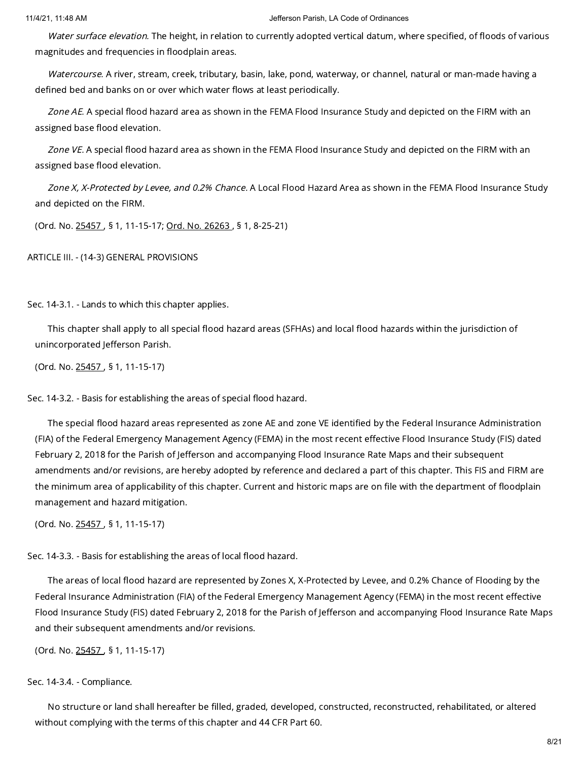Water surface elevation. The height, in relation to currently adopted vertical datum, where specified, of floods of various magnitudes and frequencies in floodplain areas.

Watercourse. A river, stream, creek, tributary, basin, lake, pond, waterway, or channel, natural or man-made having a defined bed and banks on or over which water flows at least periodically.

Zone AE. A special flood hazard area as shown in the FEMA Flood Insurance Study and depicted on the FIRM with an assigned base flood elevation.

Zone VE. A special flood hazard area as shown in the FEMA Flood Insurance Study and depicted on the FIRM with an assigned base flood elevation.

Zone X, X-Protected by Levee, and 0.2% Chance. A Local Flood Hazard Area as shown in the FEMA Flood Insurance Study and depicted on the FIRM.

(Ord. No. [25457](https://library.municode.com/) , § 1, 11-15-17; Ord. No. [26263](https://library.municode.com/) , § 1, 8-25-21)

ARTICLE III. - (14-3) GENERAL PROVISIONS

Sec. 14-3.1. - Lands to which this chapter applies.

This chapter shall apply to all special flood hazard areas (SFHAs) and local flood hazards within the jurisdiction of unincorporated Jefferson Parish.

(Ord. No. [25457](https://library.municode.com/) , § 1, 11-15-17)

Sec. 14-3.2. - Basis for establishing the areas of special flood hazard.

The special flood hazard areas represented as zone AE and zone VE identified by the Federal Insurance Administration (FIA) of the Federal Emergency Management Agency (FEMA) in the most recent effective Flood Insurance Study (FIS) dated February 2, 2018 for the Parish of Jefferson and accompanying Flood Insurance Rate Maps and their subsequent amendments and/or revisions, are hereby adopted by reference and declared a part of this chapter. This FIS and FIRM are the minimum area of applicability of this chapter. Current and historic maps are on file with the department of floodplain management and hazard mitigation.

(Ord. No. [25457](https://library.municode.com/) , § 1, 11-15-17)

Sec. 14-3.3. - Basis for establishing the areas of local flood hazard.

The areas of local flood hazard are represented by Zones X, X-Protected by Levee, and 0.2% Chance of Flooding by the Federal Insurance Administration (FIA) of the Federal Emergency Management Agency (FEMA) in the most recent effective Flood Insurance Study (FIS) dated February 2, 2018 for the Parish of Jefferson and accompanying Flood Insurance Rate Maps and their subsequent amendments and/or revisions.

(Ord. No. [25457](https://library.municode.com/) , § 1, 11-15-17)

# Sec. 14-3.4. - Compliance.

No structure or land shall hereafter be filled, graded, developed, constructed, reconstructed, rehabilitated, or altered without complying with the terms of this chapter and 44 CFR Part 60.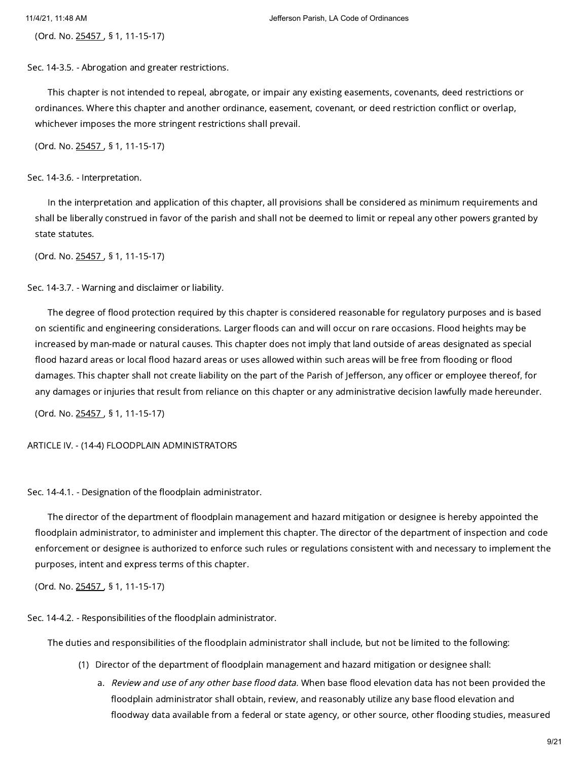(Ord. No. [25457](https://library.municode.com/) , § 1, 11-15-17)

Sec. 14-3.5. - Abrogation and greater restrictions.

This chapter is not intended to repeal, abrogate, or impair any existing easements, covenants, deed restrictions or ordinances. Where this chapter and another ordinance, easement, covenant, or deed restriction conflict or overlap, whichever imposes the more stringent restrictions shall prevail.

(Ord. No. [25457](https://library.municode.com/) , § 1, 11-15-17)

Sec. 14-3.6. - Interpretation.

In the interpretation and application of this chapter, all provisions shall be considered as minimum requirements and shall be liberally construed in favor of the parish and shall not be deemed to limit or repeal any other powers granted by state statutes.

(Ord. No. [25457](https://library.municode.com/) , § 1, 11-15-17)

Sec. 14-3.7. - Warning and disclaimer or liability.

The degree of flood protection required by this chapter is considered reasonable for regulatory purposes and is based on scientific and engineering considerations. Larger floods can and will occur on rare occasions. Flood heights may be increased by man-made or natural causes. This chapter does not imply that land outside of areas designated as special flood hazard areas or local flood hazard areas or uses allowed within such areas will be free from flooding or flood damages. This chapter shall not create liability on the part of the Parish of Jefferson, any officer or employee thereof, for any damages or injuries that result from reliance on this chapter or any administrative decision lawfully made hereunder.

(Ord. No. [25457](https://library.municode.com/) , § 1, 11-15-17)

ARTICLE IV. - (14-4) FLOODPLAIN ADMINISTRATORS

Sec. 14-4.1. - Designation of the floodplain administrator.

The director of the department of floodplain management and hazard mitigation or designee is hereby appointed the floodplain administrator, to administer and implement this chapter. The director of the department of inspection and code enforcement or designee is authorized to enforce such rules or regulations consistent with and necessary to implement the purposes, intent and express terms of this chapter.

(Ord. No. [25457](https://library.municode.com/) , § 1, 11-15-17)

Sec. 14-4.2. - Responsibilities of the floodplain administrator.

The duties and responsibilities of the floodplain administrator shall include, but not be limited to the following:

- (1) Director of the department of floodplain management and hazard mitigation or designee shall:
	- a. *Review and use of any other base flood data.* When base flood elevation data has not been provided the floodplain administrator shall obtain, review, and reasonably utilize any base flood elevation and floodway data available from a federal or state agency, or other source, other flooding studies, measured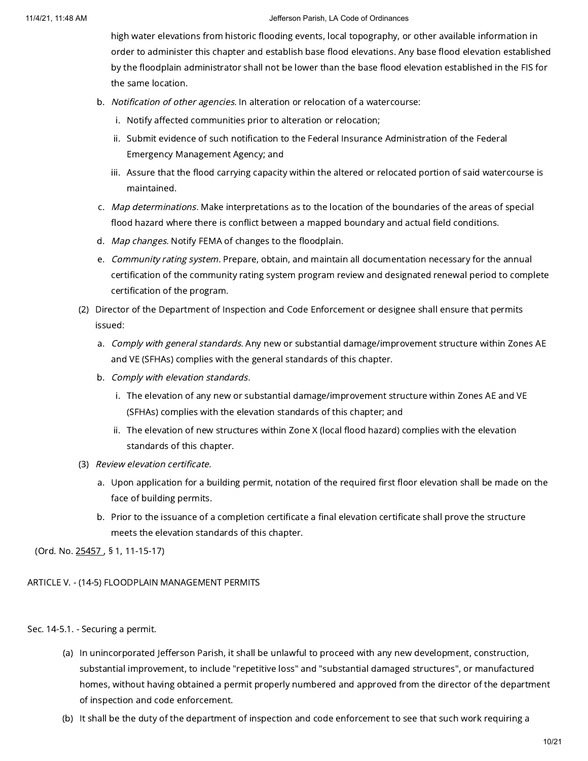high water elevations from historic flooding events, local topography, or other available information in order to administer this chapter and establish base flood elevations. Any base flood elevation established by the floodplain administrator shall not be lower than the base flood elevation established in the FIS for the same location.

- b. Notification of other agencies. In alteration or relocation of a watercourse:
	- i. Notify affected communities prior to alteration or relocation;
	- ii. Submit evidence of such notification to the Federal Insurance Administration of the Federal Emergency Management Agency; and
	- iii. Assure that the flood carrying capacity within the altered or relocated portion of said watercourse is maintained.
- c. Map determinations. Make interpretations as to the location of the boundaries of the areas of special flood hazard where there is conflict between a mapped boundary and actual field conditions.
- d. *Map changes.* Notify FEMA of changes to the floodplain.
- e. Community rating system. Prepare, obtain, and maintain all documentation necessary for the annual certification of the community rating system program review and designated renewal period to complete certification of the program.
- (2) Director of the Department of Inspection and Code Enforcement or designee shall ensure that permits issued:
	- a. *Comply with general standards.* Any new or substantial damage/improvement structure within Zones AE and VE (SFHAs) complies with the general standards of this chapter.
	- b. Comply with elevation standards.
		- i. The elevation of any new or substantial damage/improvement structure within Zones AE and VE (SFHAs) complies with the elevation standards of this chapter; and
		- ii. The elevation of new structures within Zone X (local flood hazard) complies with the elevation standards of this chapter.
- (3) Review elevation certificate.
	- a. Upon application for a building permit, notation of the required first floor elevation shall be made on the face of building permits.
	- b. Prior to the issuance of a completion certificate a final elevation certificate shall prove the structure meets the elevation standards of this chapter.

(Ord. No. [25457](https://library.municode.com/) , § 1, 11-15-17)

ARTICLE V. - (14-5) FLOODPLAIN MANAGEMENT PERMITS

Sec. 14-5.1. - Securing a permit.

- (a) In unincorporated Jefferson Parish, it shall be unlawful to proceed with any new development, construction, substantial improvement, to include "repetitive loss" and "substantial damaged structures", or manufactured homes, without having obtained a permit properly numbered and approved from the director of the department of inspection and code enforcement.
- (b) It shall be the duty of the department of inspection and code enforcement to see that such work requiring a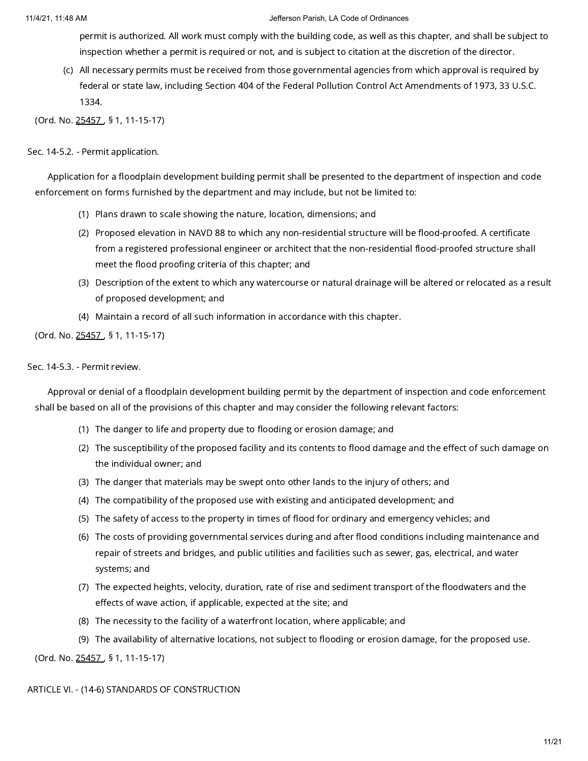permit is authorized. All work must comply with the building code, as well as this chapter, and shall be subject to inspection whether a permit is required or not, and is subject to citation at the discretion of the director.

(c) All necessary permits must be received from those governmental agencies from which approval is required by federal or state law, including Section 404 of the Federal Pollution Control Act Amendments of 1973, 33 U.S.C. 1334.

(Ord. No. [25457](https://library.municode.com/) , § 1, 11-15-17)

# Sec. 14-5.2. - Permit application.

Application for a floodplain development building permit shall be presented to the department of inspection and code enforcement on forms furnished by the department and may include, but not be limited to:

- (1) Plans drawn to scale showing the nature, location, dimensions; and
- (2) Proposed elevation in NAVD 88 to which any non-residential structure will be flood-proofed. A certificate from a registered professional engineer or architect that the non-residential flood-proofed structure shall meet the flood proofing criteria of this chapter; and
- (3) Description of the extent to which any watercourse or natural drainage will be altered or relocated as a result of proposed development; and
- (4) Maintain a record of all such information in accordance with this chapter.

(Ord. No. [25457](https://library.municode.com/) , § 1, 11-15-17)

# Sec. 14-5.3. - Permit review.

Approval or denial of a floodplain development building permit by the department of inspection and code enforcement shall be based on all of the provisions of this chapter and may consider the following relevant factors:

- (1) The danger to life and property due to flooding or erosion damage; and
- (2) The susceptibility of the proposed facility and its contents to flood damage and the effect of such damage on the individual owner; and
- (3) The danger that materials may be swept onto other lands to the injury of others; and
- (4) The compatibility of the proposed use with existing and anticipated development; and
- (5) The safety of access to the property in times of flood for ordinary and emergency vehicles; and
- (6) The costs of providing governmental services during and after flood conditions including maintenance and repair of streets and bridges, and public utilities and facilities such as sewer, gas, electrical, and water systems; and
- (7) The expected heights, velocity, duration, rate of rise and sediment transport of the floodwaters and the effects of wave action, if applicable, expected at the site; and
- (8) The necessity to the facility of a waterfront location, where applicable; and
- (9) The availability of alternative locations, not subject to flooding or erosion damage, for the proposed use.

(Ord. No. [25457](https://library.municode.com/) , § 1, 11-15-17)

ARTICLE VI. - (14-6) STANDARDS OF CONSTRUCTION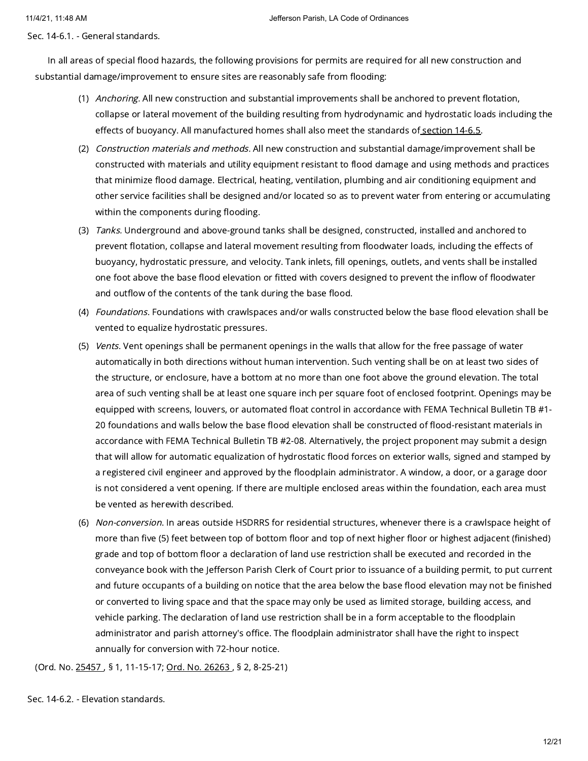Sec. 14-6.1. - General standards.

In all areas of special flood hazards, the following provisions for permits are required for all new construction and substantial damage/improvement to ensure sites are reasonably safe from flooding:

- (1) *Anchoring.* All new construction and substantial improvements shall be anchored to prevent flotation, collapse or lateral movement of the building resulting from hydrodynamic and hydrostatic loads including the effects of buoyancy. All manufactured homes shall also meet the standards of [section](https://library.municode.com/) 14-6.5.
- (2) *Construction materials and methods.* All new construction and substantial damage/improvement shall be constructed with materials and utility equipment resistant to flood damage and using methods and practices that minimize flood damage. Electrical, heating, ventilation, plumbing and air conditioning equipment and other service facilities shall be designed and/or located so as to prevent water from entering or accumulating within the components during flooding.
- (3) *Tanks.* Underground and above-ground tanks shall be designed, constructed, installed and anchored to prevent flotation, collapse and lateral movement resulting from floodwater loads, including the effects of buoyancy, hydrostatic pressure, and velocity. Tank inlets, fill openings, outlets, and vents shall be installed one foot above the base flood elevation or fitted with covers designed to prevent the inflow of floodwater and outflow of the contents of the tank during the base flood.
- (4) *Foundations*. Foundations with crawlspaces and/or walls constructed below the base flood elevation shall be vented to equalize hydrostatic pressures.
- (5) *Vents*. Vent openings shall be permanent openings in the walls that allow for the free passage of water automatically in both directions without human intervention. Such venting shall be on at least two sides of the structure, or enclosure, have a bottom at no more than one foot above the ground elevation. The total area of such venting shall be at least one square inch per square foot of enclosed footprint. Openings may be equipped with screens, louvers, or automated float control in accordance with FEMA Technical Bulletin TB #1- 20 foundations and walls below the base flood elevation shall be constructed of flood-resistant materials in accordance with FEMA Technical Bulletin TB #2-08. Alternatively, the project proponent may submit a design that will allow for automatic equalization of hydrostatic flood forces on exterior walls, signed and stamped by a registered civil engineer and approved by the floodplain administrator. A window, a door, or a garage door is not considered a vent opening. If there are multiple enclosed areas within the foundation, each area must be vented as herewith described.
- (6) *Non-conversion*. In areas outside HSDRRS for residential structures, whenever there is a crawlspace height of more than five (5) feet between top of bottom floor and top of next higher floor or highest adjacent (finished) grade and top of bottom floor a declaration of land use restriction shall be executed and recorded in the conveyance book with the Jefferson Parish Clerk of Court prior to issuance of a building permit, to put current and future occupants of a building on notice that the area below the base flood elevation may not be finished or converted to living space and that the space may only be used as limited storage, building access, and vehicle parking. The declaration of land use restriction shall be in a form acceptable to the floodplain administrator and parish attorney's office. The floodplain administrator shall have the right to inspect annually for conversion with 72-hour notice.

(Ord. No. [25457](https://library.municode.com/) , § 1, 11-15-17; Ord. No. [26263](https://library.municode.com/) , § 2, 8-25-21)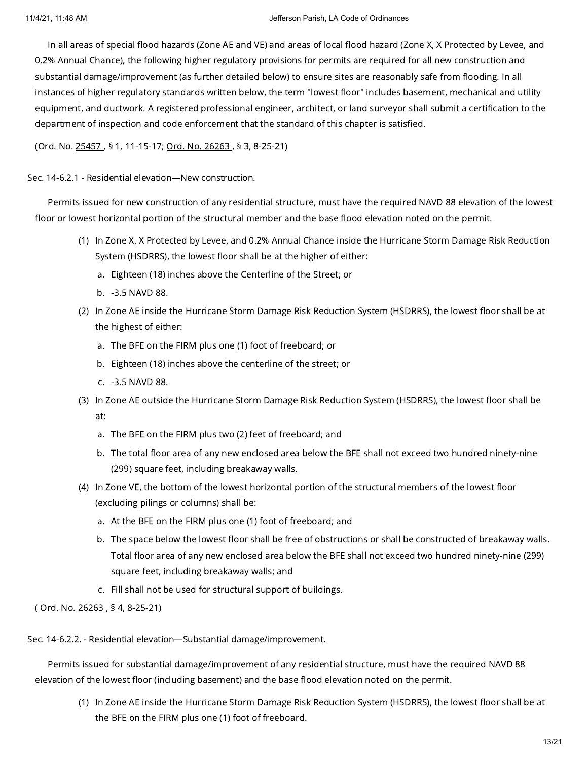In all areas of special flood hazards (Zone AE and VE) and areas of local flood hazard (Zone X, X Protected by Levee, and 0.2% Annual Chance), the following higher regulatory provisions for permits are required for all new construction and substantial damage/improvement (as further detailed below) to ensure sites are reasonably safe from flooding. In all instances of higher regulatory standards written below, the term "lowest floor" includes basement, mechanical and utility equipment, and ductwork. A registered professional engineer, architect, or land surveyor shall submit a certification to the department of inspection and code enforcement that the standard of this chapter is satisfied.

(Ord. No. [25457](https://library.municode.com/) , § 1, 11-15-17; Ord. No. [26263](https://library.municode.com/) , § 3, 8-25-21)

Sec. 14-6.2.1 - Residential elevation—New construction.

Permits issued for new construction of any residential structure, must have the required NAVD 88 elevation of the lowest floor or lowest horizontal portion of the structural member and the base flood elevation noted on the permit.

- (1) In Zone X, X Protected by Levee, and 0.2% Annual Chance inside the Hurricane Storm Damage Risk Reduction System (HSDRRS), the lowest floor shall be at the higher of either:
	- a. Eighteen (18) inches above the Centerline of the Street; or
	- b. -3.5 NAVD 88.
- (2) In Zone AE inside the Hurricane Storm Damage Risk Reduction System (HSDRRS), the lowest floor shall be at the highest of either:
	- a. The BFE on the FIRM plus one (1) foot of freeboard; or
	- b. Eighteen (18) inches above the centerline of the street; or
	- c. -3.5 NAVD 88.
- (3) In Zone AE outside the Hurricane Storm Damage Risk Reduction System (HSDRRS), the lowest floor shall be at:
	- a. The BFE on the FIRM plus two (2) feet of freeboard; and
	- b. The total floor area of any new enclosed area below the BFE shall not exceed two hundred ninety-nine (299) square feet, including breakaway walls.
- (4) In Zone VE, the bottom of the lowest horizontal portion of the structural members of the lowest floor (excluding pilings or columns) shall be:
	- a. At the BFE on the FIRM plus one (1) foot of freeboard; and
	- b. The space below the lowest floor shall be free of obstructions or shall be constructed of breakaway walls. Total floor area of any new enclosed area below the BFE shall not exceed two hundred ninety-nine (299) square feet, including breakaway walls; and
	- c. Fill shall not be used for structural support of buildings.

( Ord. No. [26263](https://library.municode.com/) , § 4, 8-25-21)

Sec. 14-6.2.2. - Residential elevation—Substantial damage/improvement.

Permits issued for substantial damage/improvement of any residential structure, must have the required NAVD 88 elevation of the lowest floor (including basement) and the base flood elevation noted on the permit.

(1) In Zone AE inside the Hurricane Storm Damage Risk Reduction System (HSDRRS), the lowest floor shall be at the BFE on the FIRM plus one (1) foot of freeboard.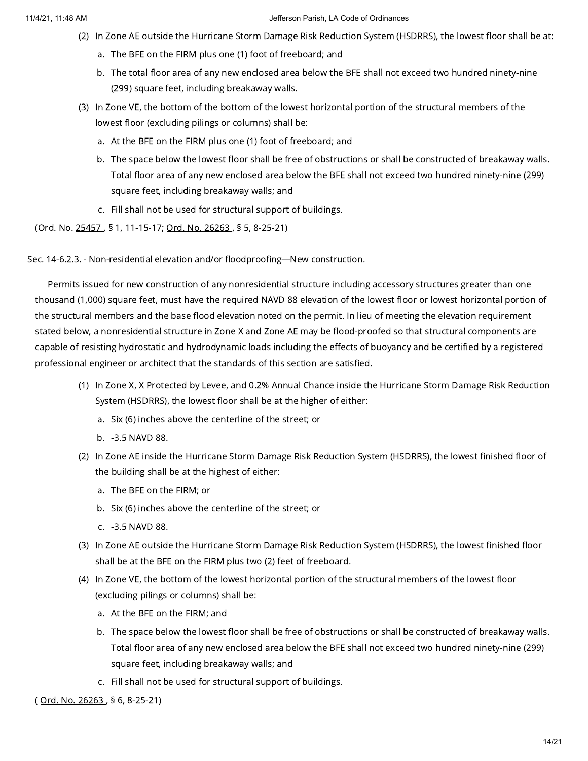- (2) In Zone AE outside the Hurricane Storm Damage Risk Reduction System (HSDRRS), the lowest floor shall be at:
	- a. The BFE on the FIRM plus one (1) foot of freeboard; and
	- b. The total floor area of any new enclosed area below the BFE shall not exceed two hundred ninety-nine (299) square feet, including breakaway walls.
- (3) In Zone VE, the bottom of the bottom of the lowest horizontal portion of the structural members of the lowest floor (excluding pilings or columns) shall be:
	- a. At the BFE on the FIRM plus one (1) foot of freeboard; and
	- b. The space below the lowest floor shall be free of obstructions or shall be constructed of breakaway walls. Total floor area of any new enclosed area below the BFE shall not exceed two hundred ninety-nine (299) square feet, including breakaway walls; and
	- c. Fill shall not be used for structural support of buildings.

(Ord. No. [25457](https://library.municode.com/) , § 1, 11-15-17; Ord. No. [26263](https://library.municode.com/) , § 5, 8-25-21)

Sec. 14-6.2.3. - Non-residential elevation and/or floodproofing—New construction.

Permits issued for new construction of any nonresidential structure including accessory structures greater than one thousand (1,000) square feet, must have the required NAVD 88 elevation of the lowest floor or lowest horizontal portion of the structural members and the base flood elevation noted on the permit. In lieu of meeting the elevation requirement stated below, a nonresidential structure in Zone X and Zone AE may be flood-proofed so that structural components are capable of resisting hydrostatic and hydrodynamic loads including the effects of buoyancy and be certified by a registered professional engineer or architect that the standards of this section are satisfied.

- (1) In Zone X, X Protected by Levee, and 0.2% Annual Chance inside the Hurricane Storm Damage Risk Reduction System (HSDRRS), the lowest floor shall be at the higher of either:
	- a. Six (6) inches above the centerline of the street; or
	- b. -3.5 NAVD 88.
- (2) In Zone AE inside the Hurricane Storm Damage Risk Reduction System (HSDRRS), the lowest finished floor of the building shall be at the highest of either:
	- a. The BFE on the FIRM; or
	- b. Six (6) inches above the centerline of the street; or
	- c. -3.5 NAVD 88.
- (3) In Zone AE outside the Hurricane Storm Damage Risk Reduction System (HSDRRS), the lowest finished floor shall be at the BFE on the FIRM plus two (2) feet of freeboard.
- (4) In Zone VE, the bottom of the lowest horizontal portion of the structural members of the lowest floor (excluding pilings or columns) shall be:
	- a. At the BFE on the FIRM; and
	- b. The space below the lowest floor shall be free of obstructions or shall be constructed of breakaway walls. Total floor area of any new enclosed area below the BFE shall not exceed two hundred ninety-nine (299) square feet, including breakaway walls; and
	- c. Fill shall not be used for structural support of buildings.

( Ord. No. [26263](https://library.municode.com/) , § 6, 8-25-21)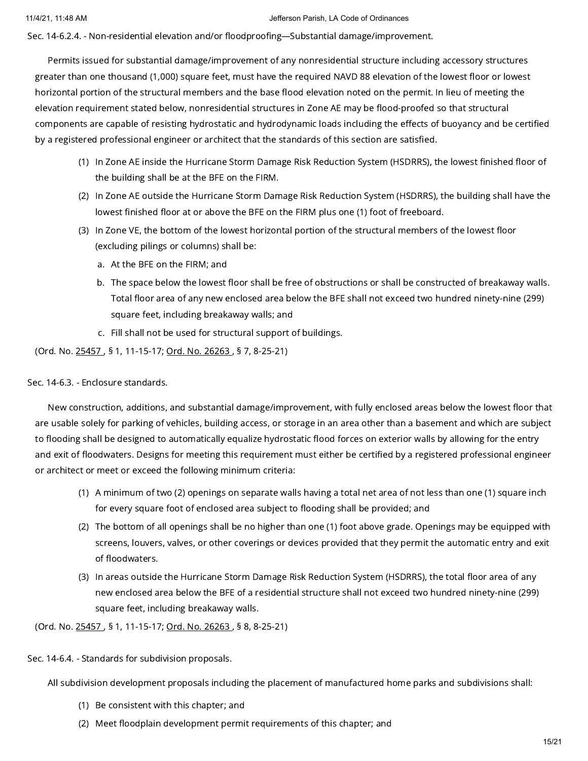Sec. 14-6.2.4. - Non-residential elevation and/or floodproofing—Substantial damage/improvement.

Permits issued for substantial damage/improvement of any nonresidential structure including accessory structures greater than one thousand (1,000) square feet, must have the required NAVD 88 elevation of the lowest floor or lowest horizontal portion of the structural members and the base flood elevation noted on the permit. In lieu of meeting the elevation requirement stated below, nonresidential structures in Zone AE may be flood-proofed so that structural components are capable of resisting hydrostatic and hydrodynamic loads including the effects of buoyancy and be certified by a registered professional engineer or architect that the standards of this section are satisfied.

- (1) In Zone AE inside the Hurricane Storm Damage Risk Reduction System (HSDRRS), the lowest finished floor of the building shall be at the BFE on the FIRM.
- (2) In Zone AE outside the Hurricane Storm Damage Risk Reduction System (HSDRRS), the building shall have the lowest finished floor at or above the BFE on the FIRM plus one (1) foot of freeboard.
- (3) In Zone VE, the bottom of the lowest horizontal portion of the structural members of the lowest floor (excluding pilings or columns) shall be:
	- a. At the BFE on the FIRM; and
	- b. The space below the lowest floor shall be free of obstructions or shall be constructed of breakaway walls. Total floor area of any new enclosed area below the BFE shall not exceed two hundred ninety-nine (299) square feet, including breakaway walls; and
	- c. Fill shall not be used for structural support of buildings.

(Ord. No. [25457](https://library.municode.com/) , § 1, 11-15-17; Ord. No. [26263](https://library.municode.com/) , § 7, 8-25-21)

# Sec. 14-6.3. - Enclosure standards.

New construction, additions, and substantial damage/improvement, with fully enclosed areas below the lowest floor that are usable solely for parking of vehicles, building access, or storage in an area other than a basement and which are subject to flooding shall be designed to automatically equalize hydrostatic flood forces on exterior walls by allowing for the entry and exit of floodwaters. Designs for meeting this requirement must either be certified by a registered professional engineer or architect or meet or exceed the following minimum criteria:

- (1) A minimum of two (2) openings on separate walls having a total net area of not less than one (1) square inch for every square foot of enclosed area subject to flooding shall be provided; and
- (2) The bottom of all openings shall be no higher than one (1) foot above grade. Openings may be equipped with screens, louvers, valves, or other coverings or devices provided that they permit the automatic entry and exit of floodwaters.
- (3) In areas outside the Hurricane Storm Damage Risk Reduction System (HSDRRS), the total floor area of any new enclosed area below the BFE of a residential structure shall not exceed two hundred ninety-nine (299) square feet, including breakaway walls.

(Ord. No. [25457](https://library.municode.com/) , § 1, 11-15-17; Ord. No. [26263](https://library.municode.com/) , § 8, 8-25-21)

Sec. 14-6.4. - Standards for subdivision proposals.

All subdivision development proposals including the placement of manufactured home parks and subdivisions shall:

- (1) Be consistent with this chapter; and
- (2) Meet floodplain development permit requirements of this chapter; and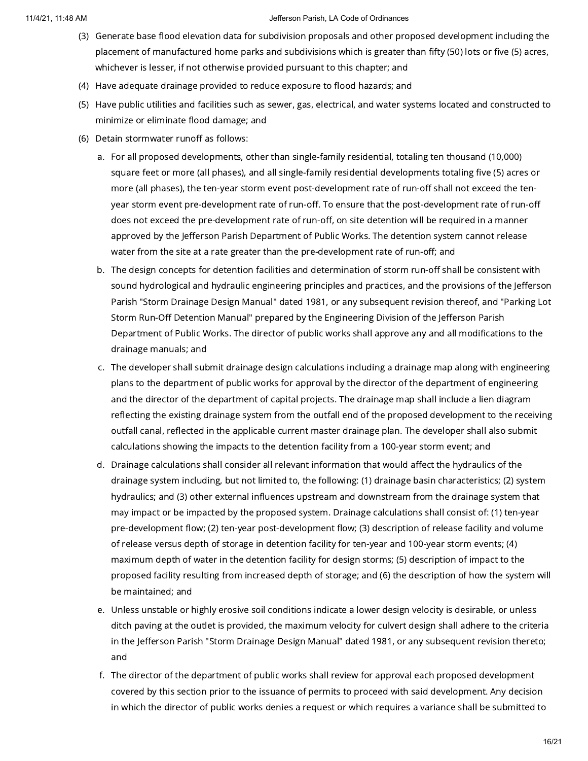- (3) Generate base flood elevation data for subdivision proposals and other proposed development including the placement of manufactured home parks and subdivisions which is greater than fifty (50) lots or five (5) acres, whichever is lesser, if not otherwise provided pursuant to this chapter; and
- (4) Have adequate drainage provided to reduce exposure to flood hazards; and
- (5) Have public utilities and facilities such as sewer, gas, electrical, and water systems located and constructed to minimize or eliminate flood damage; and
- (6) Detain stormwater runoff as follows:
	- a. For all proposed developments, other than single-family residential, totaling ten thousand (10,000) square feet or more (all phases), and all single-family residential developments totaling five (5) acres or more (all phases), the ten-year storm event post-development rate of run-off shall not exceed the tenyear storm event pre-development rate of run-off. To ensure that the post-development rate of run-off does not exceed the pre-development rate of run-off, on site detention will be required in a manner approved by the Jefferson Parish Department of Public Works. The detention system cannot release water from the site at a rate greater than the pre-development rate of run-off; and
	- b. The design concepts for detention facilities and determination of storm run-off shall be consistent with sound hydrological and hydraulic engineering principles and practices, and the provisions of the Jefferson Parish "Storm Drainage Design Manual" dated 1981, or any subsequent revision thereof, and "Parking Lot Storm Run-Off Detention Manual" prepared by the Engineering Division of the Jefferson Parish Department of Public Works. The director of public works shall approve any and all modifications to the drainage manuals; and
	- c. The developer shall submit drainage design calculations including a drainage map along with engineering plans to the department of public works for approval by the director of the department of engineering and the director of the department of capital projects. The drainage map shall include a lien diagram reflecting the existing drainage system from the outfall end of the proposed development to the receiving outfall canal, reflected in the applicable current master drainage plan. The developer shall also submit calculations showing the impacts to the detention facility from a 100-year storm event; and
	- d. Drainage calculations shall consider all relevant information that would affect the hydraulics of the drainage system including, but not limited to, the following: (1) drainage basin characteristics; (2) system hydraulics; and (3) other external influences upstream and downstream from the drainage system that may impact or be impacted by the proposed system. Drainage calculations shall consist of: (1) ten-year pre-development flow; (2) ten-year post-development flow; (3) description of release facility and volume of release versus depth of storage in detention facility for ten-year and 100-year storm events; (4) maximum depth of water in the detention facility for design storms; (5) description of impact to the proposed facility resulting from increased depth of storage; and (6) the description of how the system will be maintained; and
	- e. Unless unstable or highly erosive soil conditions indicate a lower design velocity is desirable, or unless ditch paving at the outlet is provided, the maximum velocity for culvert design shall adhere to the criteria in the Jefferson Parish "Storm Drainage Design Manual" dated 1981, or any subsequent revision thereto; and
	- f. The director of the department of public works shall review for approval each proposed development covered by this section prior to the issuance of permits to proceed with said development. Any decision in which the director of public works denies a request or which requires a variance shall be submitted to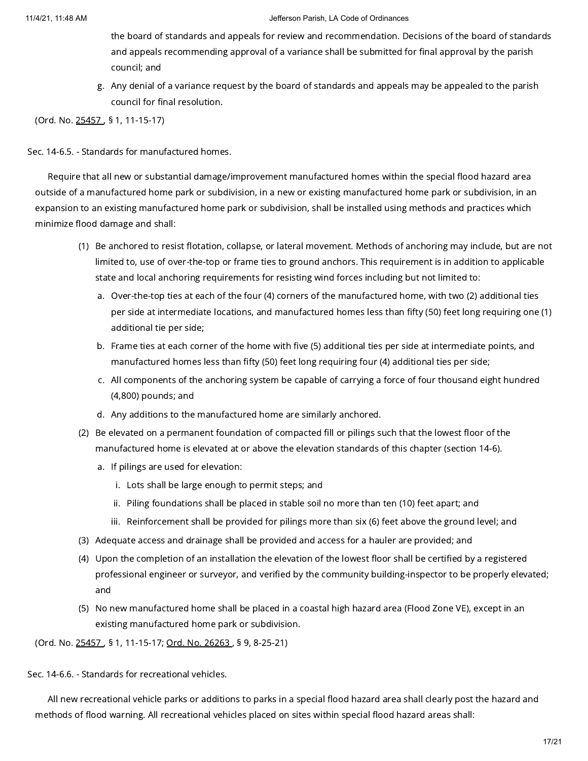- the board of standards and appeals for review and recommendation. Decisions of the board of standards and appeals recommending approval of a variance shall be submitted for final approval by the parish council; and
- g. Any denial of a variance request by the board of standards and appeals may be appealed to the parish council for final resolution.

(Ord. No. [25457](https://library.municode.com/) , § 1, 11-15-17)

Sec. 14-6.5. - Standards for manufactured homes.

Require that all new or substantial damage/improvement manufactured homes within the special flood hazard area outside of a manufactured home park or subdivision, in a new or existing manufactured home park or subdivision, in an expansion to an existing manufactured home park or subdivision, shall be installed using methods and practices which minimize flood damage and shall:

- (1) Be anchored to resist flotation, collapse, or lateral movement. Methods of anchoring may include, but are not limited to, use of over-the-top or frame ties to ground anchors. This requirement is in addition to applicable state and local anchoring requirements for resisting wind forces including but not limited to:
	- a. Over-the-top ties at each of the four (4) corners of the manufactured home, with two (2) additional ties per side at intermediate locations, and manufactured homes less than fifty (50) feet long requiring one (1) additional tie per side;
	- b. Frame ties at each corner of the home with five (5) additional ties per side at intermediate points, and manufactured homes less than fifty (50) feet long requiring four (4) additional ties per side;
	- c. All components of the anchoring system be capable of carrying a force of four thousand eight hundred (4,800) pounds; and
	- d. Any additions to the manufactured home are similarly anchored.
- (2) Be elevated on a permanent foundation of compacted fill or pilings such that the lowest floor of the manufactured home is elevated at or above the elevation standards of this chapter (section 14-6).
	- a. If pilings are used for elevation:
		- i. Lots shall be large enough to permit steps; and
		- ii. Piling foundations shall be placed in stable soil no more than ten (10) feet apart; and
		- iii. Reinforcement shall be provided for pilings more than six (6) feet above the ground level; and
- (3) Adequate access and drainage shall be provided and access for a hauler are provided; and
- (4) Upon the completion of an installation the elevation of the lowest floor shall be certified by a registered professional engineer or surveyor, and verified by the community building-inspector to be properly elevated; and
- (5) No new manufactured home shall be placed in a coastal high hazard area (Flood Zone VE), except in an existing manufactured home park or subdivision.

(Ord. No. [25457](https://library.municode.com/) , § 1, 11-15-17; Ord. No. [26263](https://library.municode.com/) , § 9, 8-25-21)

Sec. 14-6.6. - Standards for recreational vehicles.

All new recreational vehicle parks or additions to parks in a special flood hazard area shall clearly post the hazard and methods of flood warning. All recreational vehicles placed on sites within special flood hazard areas shall: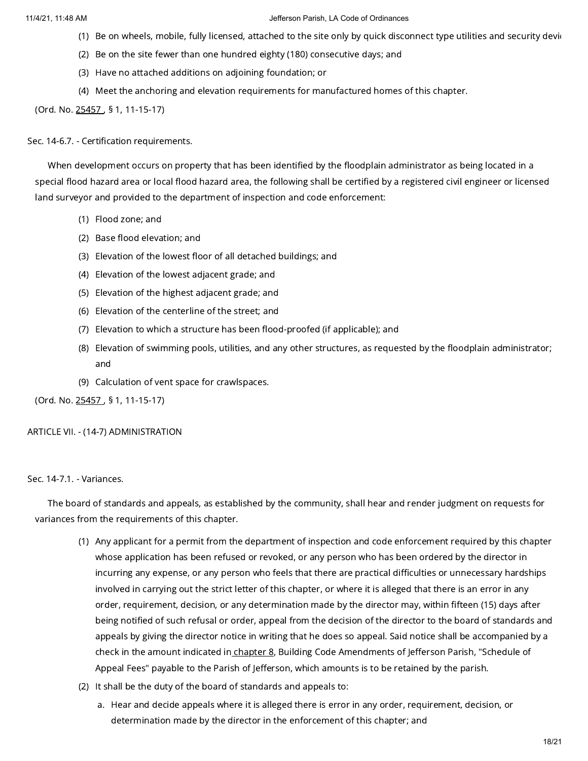- (1) Be on wheels, mobile, fully licensed, attached to the site only by quick disconnect type utilities and security devic
- (2) Be on the site fewer than one hundred eighty (180) consecutive days; and
- (3) Have no attached additions on adjoining foundation; or
- (4) Meet the anchoring and elevation requirements for manufactured homes of this chapter.

(Ord. No. [25457](https://library.municode.com/) , § 1, 11-15-17)

Sec. 14-6.7. - Certification requirements.

When development occurs on property that has been identified by the floodplain administrator as being located in a special flood hazard area or local flood hazard area, the following shall be certified by a registered civil engineer or licensed land surveyor and provided to the department of inspection and code enforcement:

- (1) Flood zone; and
- (2) Base flood elevation; and
- (3) Elevation of the lowest floor of all detached buildings; and
- (4) Elevation of the lowest adjacent grade; and
- (5) Elevation of the highest adjacent grade; and
- (6) Elevation of the centerline of the street; and
- (7) Elevation to which a structure has been flood-proofed (if applicable); and
- (8) Elevation of swimming pools, utilities, and any other structures, as requested by the floodplain administrator; and
- (9) Calculation of vent space for crawlspaces.

(Ord. No. [25457](https://library.municode.com/) , § 1, 11-15-17)

## ARTICLE VII. - (14-7) ADMINISTRATION

Sec. 14-7.1. - Variances.

The board of standards and appeals, as established by the community, shall hear and render judgment on requests for variances from the requirements of this chapter.

- (1) Any applicant for a permit from the department of inspection and code enforcement required by this chapter whose application has been refused or revoked, or any person who has been ordered by the director in incurring any expense, or any person who feels that there are practical difficulties or unnecessary hardships involved in carrying out the strict letter of this chapter, or where it is alleged that there is an error in any order, requirement, decision, or any determination made by the director may, within fifteen (15) days after being notified of such refusal or order, appeal from the decision of the director to the board of standards and appeals by giving the director notice in writing that he does so appeal. Said notice shall be accompanied by a check in the amount indicated in [chapter](https://library.municode.com/) 8, Building Code Amendments of Jefferson Parish, "Schedule of Appeal Fees" payable to the Parish of Jefferson, which amounts is to be retained by the parish.
- (2) It shall be the duty of the board of standards and appeals to:
	- a. Hear and decide appeals where it is alleged there is error in any order, requirement, decision, or determination made by the director in the enforcement of this chapter; and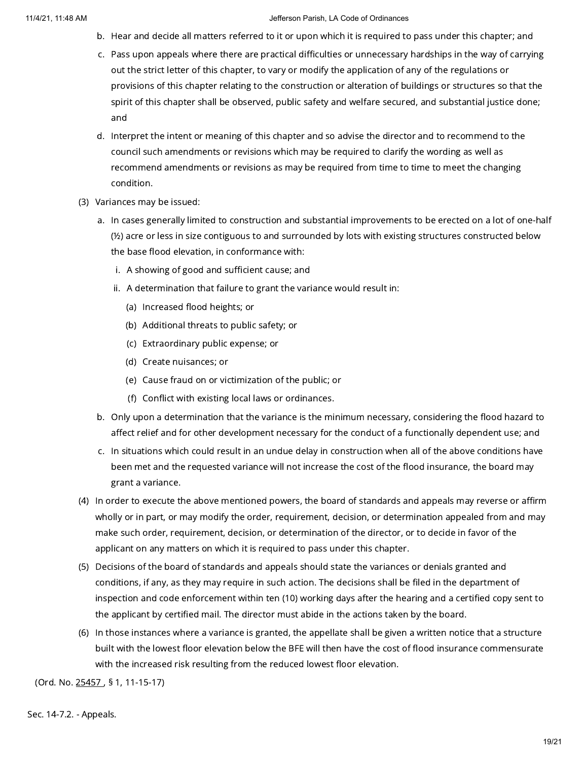- b. Hear and decide all matters referred to it or upon which it is required to pass under this chapter; and
- c. Pass upon appeals where there are practical difficulties or unnecessary hardships in the way of carrying out the strict letter of this chapter, to vary or modify the application of any of the regulations or provisions of this chapter relating to the construction or alteration of buildings or structures so that the spirit of this chapter shall be observed, public safety and welfare secured, and substantial justice done; and
- d. Interpret the intent or meaning of this chapter and so advise the director and to recommend to the council such amendments or revisions which may be required to clarify the wording as well as recommend amendments or revisions as may be required from time to time to meet the changing condition.
- (3) Variances may be issued:
	- a. In cases generally limited to construction and substantial improvements to be erected on a lot of one-half (½) acre or less in size contiguous to and surrounded by lots with existing structures constructed below the base flood elevation, in conformance with:
		- i. A showing of good and sufficient cause; and
		- ii. A determination that failure to grant the variance would result in:
			- (a) Increased flood heights; or
			- (b) Additional threats to public safety; or
			- (c) Extraordinary public expense; or
			- (d) Create nuisances; or
			- (e) Cause fraud on or victimization of the public; or
			- (f) Conflict with existing local laws or ordinances.
	- b. Only upon a determination that the variance is the minimum necessary, considering the flood hazard to affect relief and for other development necessary for the conduct of a functionally dependent use; and
	- c. In situations which could result in an undue delay in construction when all of the above conditions have been met and the requested variance will not increase the cost of the flood insurance, the board may grant a variance.
- (4) In order to execute the above mentioned powers, the board of standards and appeals may reverse or affirm wholly or in part, or may modify the order, requirement, decision, or determination appealed from and may make such order, requirement, decision, or determination of the director, or to decide in favor of the applicant on any matters on which it is required to pass under this chapter.
- (5) Decisions of the board of standards and appeals should state the variances or denials granted and conditions, if any, as they may require in such action. The decisions shall be filed in the department of inspection and code enforcement within ten (10) working days after the hearing and a certified copy sent to the applicant by certified mail. The director must abide in the actions taken by the board.
- (6) In those instances where a variance is granted, the appellate shall be given a written notice that a structure built with the lowest floor elevation below the BFE will then have the cost of flood insurance commensurate with the increased risk resulting from the reduced lowest floor elevation.

(Ord. No. [25457](https://library.municode.com/) , § 1, 11-15-17)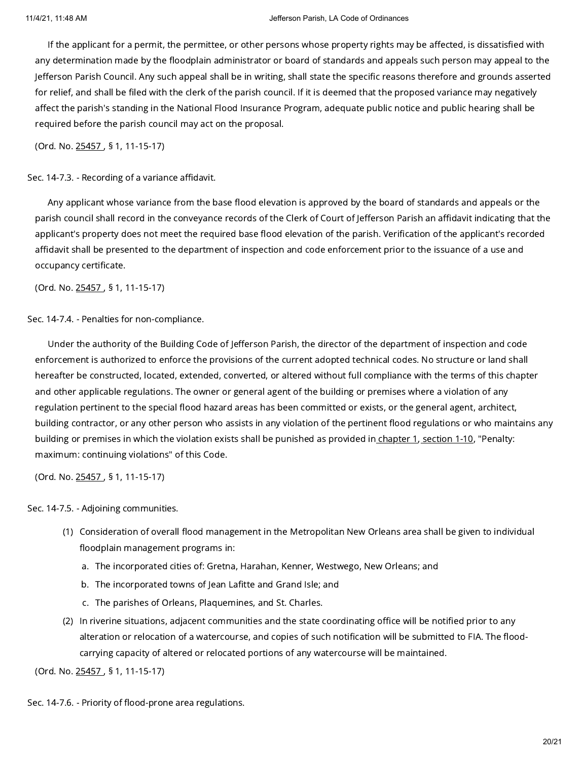If the applicant for a permit, the permittee, or other persons whose property rights may be affected, is dissatisfied with any determination made by the floodplain administrator or board of standards and appeals such person may appeal to the Jefferson Parish Council. Any such appeal shall be in writing, shall state the specific reasons therefore and grounds asserted for relief, and shall be filed with the clerk of the parish council. If it is deemed that the proposed variance may negatively affect the parish's standing in the National Flood Insurance Program, adequate public notice and public hearing shall be required before the parish council may act on the proposal.

(Ord. No. [25457](https://library.municode.com/) , § 1, 11-15-17)

Sec. 14-7.3. - Recording of a variance affidavit.

Any applicant whose variance from the base flood elevation is approved by the board of standards and appeals or the parish council shall record in the conveyance records of the Clerk of Court of Jefferson Parish an affidavit indicating that the applicant's property does not meet the required base flood elevation of the parish. Verification of the applicant's recorded affidavit shall be presented to the department of inspection and code enforcement prior to the issuance of a use and occupancy certificate.

(Ord. No. [25457](https://library.municode.com/) , § 1, 11-15-17)

Sec. 14-7.4. - Penalties for non-compliance.

Under the authority of the Building Code of Jefferson Parish, the director of the department of inspection and code enforcement is authorized to enforce the provisions of the current adopted technical codes. No structure or land shall hereafter be constructed, located, extended, converted, or altered without full compliance with the terms of this chapter and other applicable regulations. The owner or general agent of the building or premises where a violation of any regulation pertinent to the special flood hazard areas has been committed or exists, or the general agent, architect, building contractor, or any other person who assists in any violation of the pertinent flood regulations or who maintains any building or premises in which the violation exists shall be punished as provided in [chapter](https://library.municode.com/) 1, [section](https://library.municode.com/) 1-10, "Penalty: maximum: continuing violations" of this Code.

(Ord. No. [25457](https://library.municode.com/) , § 1, 11-15-17)

Sec. 14-7.5. - Adjoining communities.

- (1) Consideration of overall flood management in the Metropolitan New Orleans area shall be given to individual floodplain management programs in:
	- a. The incorporated cities of: Gretna, Harahan, Kenner, Westwego, New Orleans; and
	- b. The incorporated towns of Jean Lafitte and Grand Isle; and
	- c. The parishes of Orleans, Plaquemines, and St. Charles.
- (2) In riverine situations, adjacent communities and the state coordinating office will be notified prior to any alteration or relocation of a watercourse, and copies of such notification will be submitted to FIA. The floodcarrying capacity of altered or relocated portions of any watercourse will be maintained.

(Ord. No. [25457](https://library.municode.com/) , § 1, 11-15-17)

Sec. 14-7.6. - Priority of flood-prone area regulations.